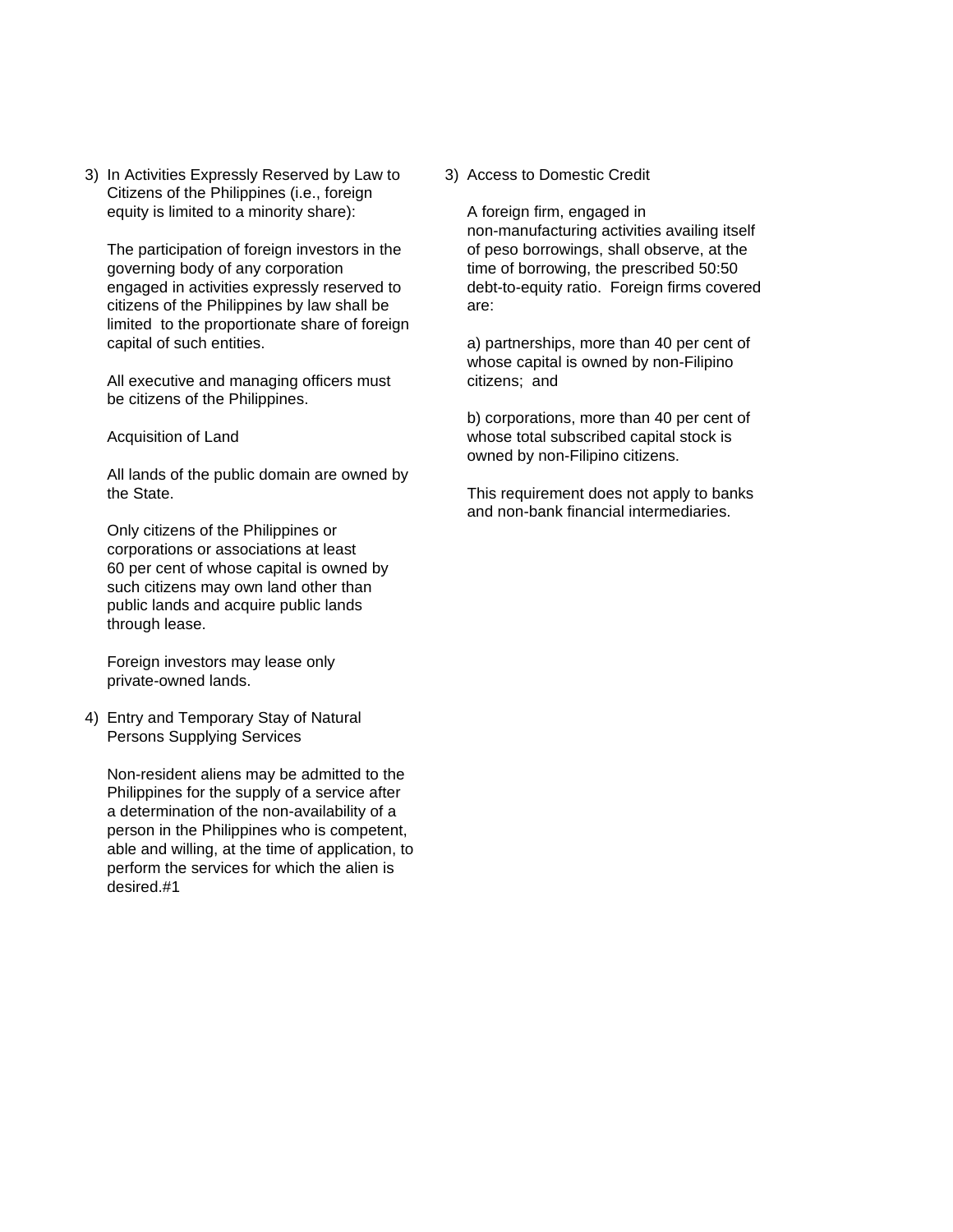3) In Activities Expressly Reserved by Law to 3) Access to Domestic Credit Citizens of the Philippines (i.e., foreign equity is limited to a minority share): A foreign firm, engaged in

governing body of any corporation time of borrowing, the prescribed 50:50 engaged in activities expressly reserved to debt-to-equity ratio. Foreign firms covered citizens of the Philippines by law shall be are: limited to the proportionate share of foreign capital of such entities. a) partnerships, more than 40 per cent of

All executive and managing officers must citizens; and be citizens of the Philippines.

All lands of the public domain are owned by the State. This requirement does not apply to banks

Only citizens of the Philippines or corporations or associations at least 60 per cent of whose capital is owned by such citizens may own land other than public lands and acquire public lands through lease.

Foreign investors may lease only private-owned lands.

4) Entry and Temporary Stay of Natural Persons Supplying Services

Non-resident aliens may be admitted to the Philippines for the supply of a service after a determination of the non-availability of a person in the Philippines who is competent, able and willing, at the time of application, to perform the services for which the alien is desired.#1

non-manufacturing activities availing itself The participation of foreign investors in the of peso borrowings, shall observe, at the

whose capital is owned by non-Filipino

b) corporations, more than 40 per cent of Acquisition of Land **Acquisition of Land** whose total subscribed capital stock is owned by non-Filipino citizens.

and non-bank financial intermediaries.